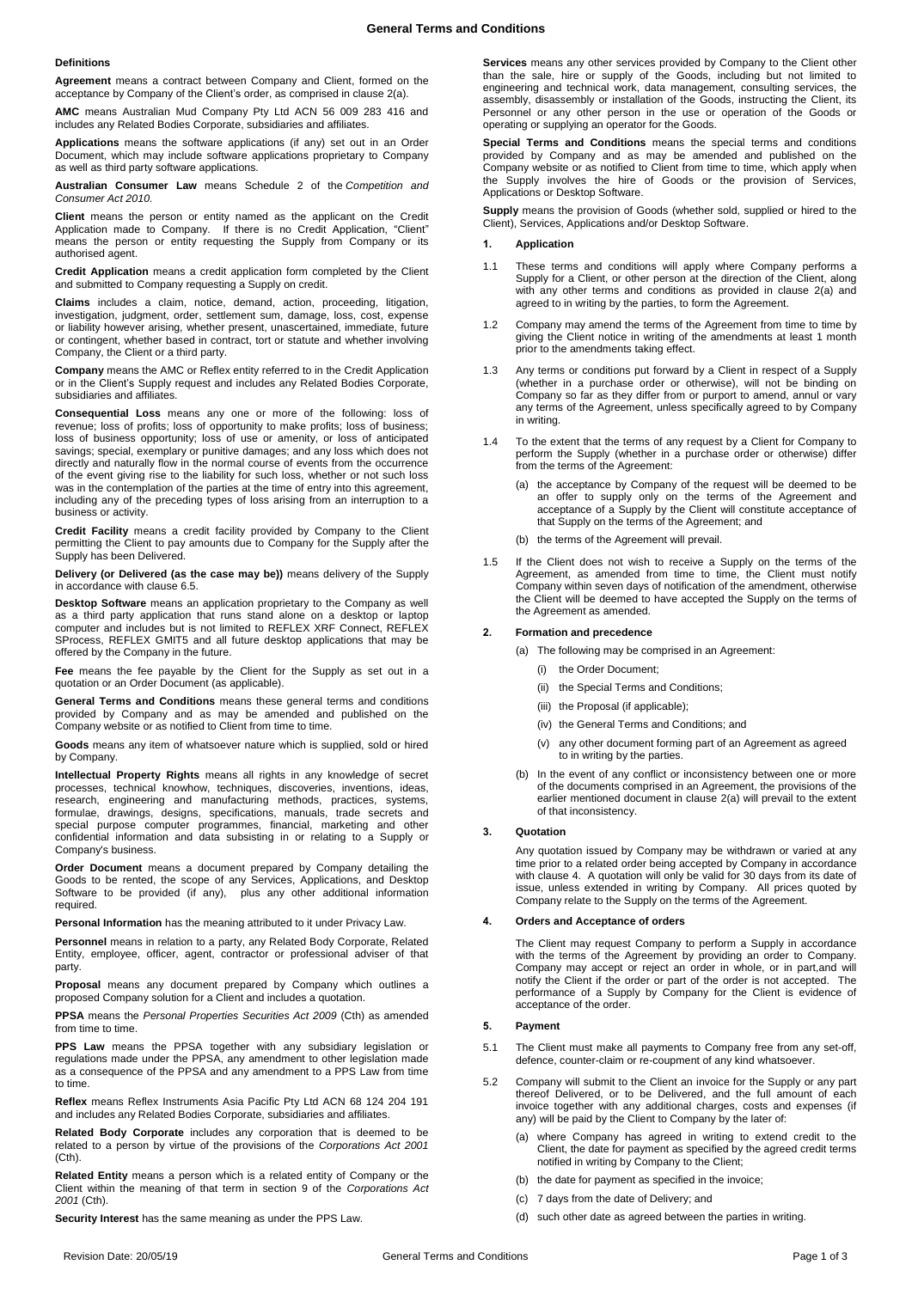### **Definitions**

**Agreement** means a contract between Company and Client, formed on the acceptance by Company of the Client's order, as comprised in claus[e 2\(a\).](#page-0-0)

**AMC** means Australian Mud Company Pty Ltd ACN 56 009 283 416 and includes any Related Bodies Corporate, subsidiaries and affiliates.

**Applications** means the software applications (if any) set out in an Order Document, which may include software applications proprietary to Company as well as third party software applications.

**Australian Consumer Law** means Schedule 2 of the *[Competition and](https://www.legislation.gov.au/Latest/C2018C00437)  [Consumer Act 2010.](https://www.legislation.gov.au/Latest/C2018C00437)*

**Client** means the person or entity named as the applicant on the Credit Application made to Company. If there is no Credit Application, "Client" means the person or entity requesting the Supply from Company or its authorised agent.

**Credit Application** means a credit application form completed by the Client and submitted to Company requesting a Supply on credit.

**Claims** includes a claim, notice, demand, action, proceeding, litigation, investigation, judgment, order, settlement sum, damage, loss, cost, expense or liability however arising, whether present, unascertained, immediate, future or contingent, whether based in contract, tort or statute and whether involving Company, the Client or a third party.

**Company** means the AMC or Reflex entity referred to in the Credit Application or in the Client's Supply request and includes any Related Bodies Corporate, subsidiaries and affiliates.

**Consequential Loss** means any one or more of the following: loss of revenue; loss of profits; loss of opportunity to make profits; loss of business; loss of business opportunity; loss of use or amenity, or loss of anticipated savings; special, exemplary or punitive damages; and any loss which does not directly and naturally flow in the normal course of events from the occurrence of the event giving rise to the liability for such loss, whether or not such loss was in the contemplation of the parties at the time of entry into this agreement, including any of the preceding types of loss arising from an interruption to a business or activity.

**Credit Facility** means a credit facility provided by Company to the Client permitting the Client to pay amounts due to Company for the Supply after the Supply has been Delivered.

**Delivery (or Delivered (as the case may be))** means delivery of the Supply in accordance with claus[e 6.5.](#page-1-0)

**Desktop Software** means an application proprietary to the Company as well as a third party application that runs stand alone on a desktop or laptop computer and includes but is not limited to REFLEX XRF Connect, REFLEX SProcess, REFLEX GMIT5 and all future desktop applications that may be offered by the Company in the future.

**Fee** means the fee payable by the Client for the Supply as set out in a quotation or an Order Document (as applicable).

**General Terms and Conditions** means these general terms and conditions provided by Company and as may be amended and published on the Company website or as notified to Client from time to time.

**Goods** means any item of whatsoever nature which is supplied, sold or hired by Company.

**Intellectual Property Rights** means all rights in any knowledge of secret processes, technical knowhow, techniques, discoveries, inventions, ideas, research, engineering and manufacturing methods, practices, systems, formulae, drawings, designs, specifications, manuals, trade secrets and special purpose computer programmes, financial, marketing and other confidential information and data subsisting in or relating to a Supply or Company's business.

**Order Document** means a document prepared by Company detailing the Goods to be rented, the scope of any Services, Applications, and Desktop Software to be provided (if any), plus any other additional information required.

**Personal Information** has the meaning attributed to it under Privacy Law.

**Personnel** means in relation to a party, any Related Body Corporate, Related Entity, employee, officer, agent, contractor or professional adviser of that party.

**Proposal** means any document prepared by Company which outlines a proposed Company solution for a Client and includes a quotation.

**PPSA** means the *Personal Properties Securities Act 2009* (Cth) as amended from time to time.

**PPS Law** means the PPSA together with any subsidiary legislation or regulations made under the PPSA, any amendment to other legislation made as a consequence of the PPSA and any amendment to a PPS Law from time to time.

**Reflex** means Reflex Instruments Asia Pacific Pty Ltd ACN 68 124 204 191 and includes any Related Bodies Corporate, subsidiaries and affiliates.

**Related Body Corporate** includes any corporation that is deemed to be related to a person by virtue of the provisions of the *Corporations Act 2001* (Cth).

**Related Entity** means a person which is a related entity of Company or the Client within the meaning of that term in section 9 of the *Corporations Act 2001* (Cth).

**Security Interest** has the same meaning as under the PPS Law.

**Services** means any other services provided by Company to the Client other than the sale, hire or supply of the Goods, including but not limited to engineering and technical work, data management, consulting services, the assembly, disassembly or installation of the Goods, instructing the Client, its Personnel or any other person in the use or operation of the Goods or operating or supplying an operator for the Goods.

**Special Terms and Conditions** means the special terms and conditions provided by Company and as may be amended and published on the Company website or as notified to Client from time to time, which apply when Supply involves the hire of Goods or the provision of Services, Applications or Desktop Software.

**Supply** means the provision of Goods (whether sold, supplied or hired to the Client), Services, Applications and/or Desktop Software.

# **1. Application**

- 1.1 These terms and conditions will apply where Company performs a Supply for a Client, or other person at the direction of the Client, along with any other terms and conditions as provided in clause 2(a) and agreed to in writing by the parties, to form the Agreement.
- 1.2 Company may amend the terms of the Agreement from time to time by giving the Client notice in writing of the amendments at least 1 month prior to the amendments taking effect.
- 1.3 Any terms or conditions put forward by a Client in respect of a Supply (whether in a purchase order or otherwise), will not be binding on Company so far as they differ from or purport to amend, annul or vary any terms of the Agreement, unless specifically agreed to by Company in writing.
- To the extent that the terms of any request by a Client for Company to perform the Supply (whether in a purchase order or otherwise) differ from the terms of the Agreement:
	- (a) the acceptance by Company of the request will be deemed to be an offer to supply only on the terms of the Agreement and acceptance of a Supply by the Client will constitute acceptance of that Supply on the terms of the Agreement; and
	- (b) the terms of the Agreement will prevail.
- 1.5 If the Client does not wish to receive a Supply on the terms of the Agreement, as amended from time to time, the Client must notify Company within seven days of notification of the amendment, otherwise the Client will be deemed to have accepted the Supply on the terms of the Agreement as amended.

# <span id="page-0-0"></span>**2. Formation and precedence**

(a) The following may be comprised in an Agreement:

- (i) the Order Documents
- (ii) the Special Terms and Conditions;
- (iii) the Proposal (if applicable);
- (iv) the General Terms and Conditions; and
- (v) any other document forming part of an Agreement as agreed to in writing by the parties.
- (b) In the event of any conflict or inconsistency between one or more of the documents comprised in an Agreement, the provisions of the earlier mentioned document in clause [2\(a\)](#page-0-0) will prevail to the extent of that inconsistency.

### **3. Quotation**

Any quotation issued by Company may be withdrawn or varied at any time prior to a related order being accepted by Company in accordance with claus[e 4.](#page-0-1) A quotation will only be valid for 30 days from its date of issue, unless extended in writing by Company. All prices quoted by Company relate to the Supply on the terms of the Agreement.

#### <span id="page-0-1"></span>**4. Orders and Acceptance of orders**

The Client may request Company to perform a Supply in accordance with the terms of the Agreement by providing an order to Company. Company may accept or reject an order in whole, or in part,and will notify the Client if the order or part of the order is not accepted. The performance of a Supply by Company for the Client is evidence of acceptance of the order.

#### **5. Payment**

- 5.1 The Client must make all payments to Company free from any set-off, defence, counter-claim or re-coupment of any kind whatsoever.
- 5.2 Company will submit to the Client an invoice for the Supply or any part thereof Delivered, or to be Delivered, and the full amount of each invoice together with any additional charges, costs and expenses (if any) will be paid by the Client to Company by the later of:
	- (a) where Company has agreed in writing to extend credit to the Client, the date for payment as specified by the agreed credit terms notified in writing by Company to the Client;
	- (b) the date for payment as specified in the invoice;
	- (c) 7 days from the date of Delivery; and
	- (d) such other date as agreed between the parties in writing.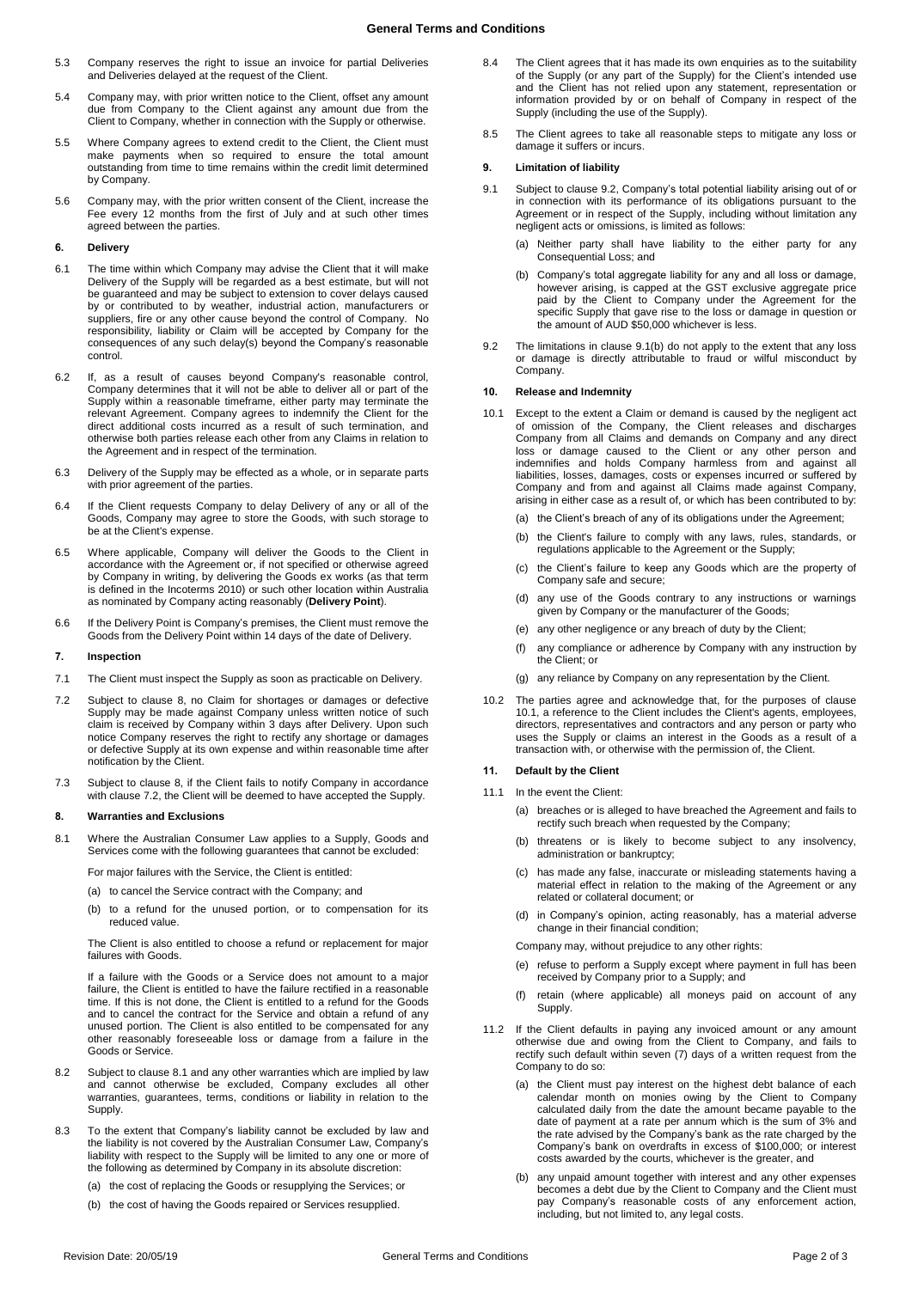## **General Terms and Conditions**

- 5.3 Company reserves the right to issue an invoice for partial Deliveries and Deliveries delayed at the request of the Client.
- 5.4 Company may, with prior written notice to the Client, offset any amount due from Company to the Client against any amount due from the Client to Company, whether in connection with the Supply or otherwise.
- 5.5 Where Company agrees to extend credit to the Client, the Client must make payments when so required to ensure the total amount outstanding from time to time remains within the credit limit determined by Company.
- 5.6 Company may, with the prior written consent of the Client, increase the Fee every 12 months from the first of July and at such other times agreed between the parties.

## **6. Delivery**

- 6.1 The time within which Company may advise the Client that it will make Delivery of the Supply will be regarded as a best estimate, but will not be guaranteed and may be subject to extension to cover delays caused by or contributed to by weather, industrial action, manufacturers or suppliers, fire or any other cause beyond the control of Company. No responsibility, liability or Claim will be accepted by Company for the consequences of any such delay(s) beyond the Company's reasonable control.
- 6.2 If, as a result of causes beyond Company's reasonable control, Company determines that it will not be able to deliver all or part of the Supply within a reasonable timeframe, either party may terminate the relevant Agreement. Company agrees to indemnify the Client for the direct additional costs incurred as a result of such termination, and otherwise both parties release each other from any Claims in relation to the Agreement and in respect of the termination.
- 6.3 Delivery of the Supply may be effected as a whole, or in separate parts with prior agreement of the parties.
- 6.4 If the Client requests Company to delay Delivery of any or all of the Goods, Company may agree to store the Goods, with such storage to be at the Client's expense.
- <span id="page-1-0"></span>6.5 Where applicable, Company will deliver the Goods to the Client in accordance with the Agreement or, if not specified or otherwise agreed by Company in writing, by delivering the Goods ex works (as that term is defined in the Incoterms 2010) or such other location within Australia as nominated by Company acting reasonably (**Delivery Point**).
- 6.6 If the Delivery Point is Company's premises, the Client must remove the Goods from the Delivery Point within 14 days of the date of Delivery.

## **7. Inspection**

- 7.1 The Client must inspect the Supply as soon as practicable on Delivery.
- <span id="page-1-2"></span>7.2 Subject to clause [8,](#page-1-1) no Claim for shortages or damages or defective Supply may be made against Company unless written notice of such claim is received by Company within 3 days after Delivery. Upon such notice Company reserves the right to rectify any shortage or damages or defective Supply at its own expense and within reasonable time after notification by the Client.
- 7.3 Subject to clause [8,](#page-1-1) if the Client fails to notify Company in accordance with clause [7.2,](#page-1-2) the Client will be deemed to have accepted the Supply.

#### <span id="page-1-1"></span>**8. Warranties and Exclusions**

8.1 Where the Australian Consumer Law applies to a Supply, Goods and Services come with the following guarantees that cannot be excluded:

For major failures with the Service, the Client is entitled:

- (a) to cancel the Service contract with the Company; and
- (b) to a refund for the unused portion, or to compensation for its reduced value.

The Client is also entitled to choose a refund or replacement for major failures with Goods.

If a failure with the Goods or a Service does not amount to a major failure, the Client is entitled to have the failure rectified in a reasonable time. If this is not done, the Client is entitled to a refund for the Goods and to cancel the contract for the Service and obtain a refund of any unused portion. The Client is also entitled to be compensated for any other reasonably foreseeable loss or damage from a failure in the Goods or Service.

- 8.2 Subject to clause 8.1 and any other warranties which are implied by law and cannot otherwise be excluded, Company excludes all other warranties, guarantees, terms, conditions or liability in relation to the Supply.
- 8.3 To the extent that Company's liability cannot be excluded by law and the liability is not covered by the Australian Consumer Law, Company's liability with respect to the Supply will be limited to any one or more of the following as determined by Company in its absolute discretion:
	- (a) the cost of replacing the Goods or resupplying the Services; or
	- (b) the cost of having the Goods repaired or Services resupplied.
- 8.4 The Client agrees that it has made its own enquiries as to the suitability of the Supply (or any part of the Supply) for the Client's intended use and the Client has not relied upon any statement, representation or information provided by or on behalf of Company in respect of the Supply (including the use of the Supply).
- 8.5 The Client agrees to take all reasonable steps to mitigate any loss or damage it suffers or incurs.

## <span id="page-1-6"></span>**9. Limitation of liability**

- <span id="page-1-4"></span>9.1 Subject to claus[e 9.2,](#page-1-3) Company's total potential liability arising out of or in connection with its performance of its obligations pursuant to the Agreement or in respect of the Supply, including without limitation any negligent acts or omissions, is limited as follows:
	- (a) Neither party shall have liability to the either party for any Consequential Loss; and
	- (b) Company's total aggregate liability for any and all loss or damage, however arising, is capped at the GST exclusive aggregate price paid by the Client to Company under the Agreement for the specific Supply that gave rise to the loss or damage in question or the amount of AUD \$50,000 whichever is less.
- <span id="page-1-3"></span>9.2 The limitations in clause [9.1\(](#page-1-4)b) do not apply to the extent that any loss or damage is directly attributable to fraud or wilful misconduct by Company.

### <span id="page-1-7"></span>**10. Release and Indemnity**

- <span id="page-1-5"></span>10.1 Except to the extent a Claim or demand is caused by the negligent act of omission of the Company, the Client releases and discharges Company from all Claims and demands on Company and any direct loss or damage caused to the Client or any other person and indemnifies and holds Company harmless from and against all liabilities, losses, damages, costs or expenses incurred or suffered by Company and from and against all Claims made against Company, arising in either case as a result of, or which has been contributed to by:
	- (a) the Client's breach of any of its obligations under the Agreement;
	- (b) the Client's failure to comply with any laws, rules, standards, or regulations applicable to the Agreement or the Supply;
	- (c) the Client's failure to keep any Goods which are the property of Company safe and secure;
	- (d) any use of the Goods contrary to any instructions or warnings given by Company or the manufacturer of the Goods;
	- (e) any other negligence or any breach of duty by the Client;
	- (f) any compliance or adherence by Company with any instruction by the Client; or
	- (g) any reliance by Company on any representation by the Client.
- 10.2 The parties agree and acknowledge that, for the purposes of clause [10.1,](#page-1-5) a reference to the Client includes the Client's agents, employees, directors, representatives and contractors and any person or party who uses the Supply or claims an interest in the Goods as a result of a transaction with, or otherwise with the permission of, the Client.

# <span id="page-1-8"></span>**11. Default by the Client**

- 11.1 In the event the Client:
	- (a) breaches or is alleged to have breached the Agreement and fails to rectify such breach when requested by the Company;
	- (b) threatens or is likely to become subject to any insolvency, administration or bankruptcy;
	- (c) has made any false, inaccurate or misleading statements having a material effect in relation to the making of the Agreement or any related or collateral document; or
	- (d) in Company's opinion, acting reasonably, has a material adverse change in their financial condition;

Company may, without prejudice to any other rights:

- (e) refuse to perform a Supply except where payment in full has been received by Company prior to a Supply; and
- (f) retain (where applicable) all moneys paid on account of any Supply.
- 11.2 If the Client defaults in paying any invoiced amount or any amount otherwise due and owing from the Client to Company, and fails to rectify such default within seven (7) days of a written request from the Company to do so:
	- (a) the Client must pay interest on the highest debt balance of each calendar month on monies owing by the Client to Company calculated daily from the date the amount became payable to the date of payment at a rate per annum which is the sum of 3% and the rate advised by the Company's bank as the rate charged by the Company's bank on overdrafts in excess of \$100,000; or interest costs awarded by the courts, whichever is the greater, and
	- (b) any unpaid amount together with interest and any other expenses becomes a debt due by the Client to Company and the Client must pay Company's reasonable costs of any enforcement action, including, but not limited to, any legal costs.